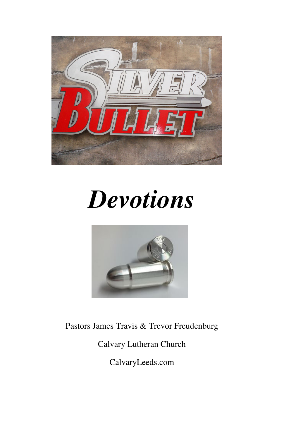

# *Devotions*



Pastors James Travis & Trevor Freudenburg

Calvary Lutheran Church

CalvaryLeeds.com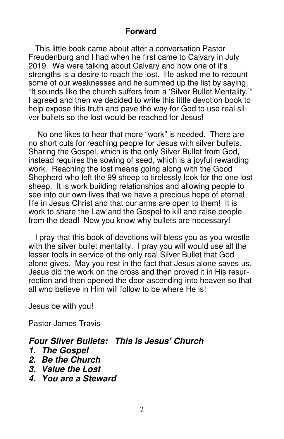# **Forward**

 This little book came about after a conversation Pastor Freudenburg and I had when he first came to Calvary in July 2019. We were talking about Calvary and how one of it's strengths is a desire to reach the lost. He asked me to recount some of our weaknesses and he summed up the list by saying, "It sounds like the church suffers from a 'Silver Bullet Mentality.'" I agreed and then we decided to write this little devotion book to help expose this truth and pave the way for God to use real silver bullets so the lost would be reached for Jesus!

 No one likes to hear that more "work" is needed. There are no short cuts for reaching people for Jesus with silver bullets. Sharing the Gospel, which is the only Silver Bullet from God, instead requires the sowing of seed, which is a joyful rewarding work. Reaching the lost means going along with the Good Shepherd who left the 99 sheep to tirelessly look for the one lost sheep. It is work building relationships and allowing people to see into our own lives that we have a precious hope of eternal life in Jesus Christ and that our arms are open to them! It is work to share the Law and the Gospel to kill and raise people from the dead! Now you know why bullets are necessary!

 I pray that this book of devotions will bless you as you wrestle with the silver bullet mentality. I pray you will would use all the lesser tools in service of the only real Silver Bullet that God alone gives. May you rest in the fact that Jesus alone saves us. Jesus did the work on the cross and then proved it in His resurrection and then opened the door ascending into heaven so that all who believe in Him will follow to be where He is!

Jesus be with you!

Pastor James Travis

# **Four Silver Bullets: This is Jesus' Church**

- **1. The Gospel**
- **2. Be the Church**
- **3. Value the Lost**
- **4. You are a Steward**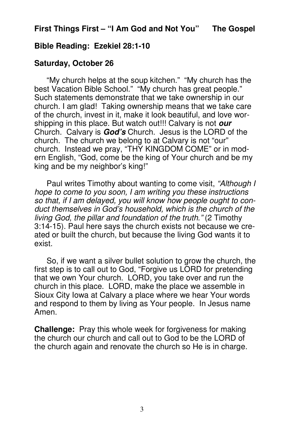# **Bible Reading: Ezekiel 28:1-10**

# **Saturday, October 26**

 "My church helps at the soup kitchen." "My church has the best Vacation Bible School." "My church has great people." Such statements demonstrate that we take ownership in our church. I am glad! Taking ownership means that we take care of the church, invest in it, make it look beautiful, and love worshipping in this place. But watch out!!! Calvary is not **our** Church. Calvary is **God's** Church. Jesus is the LORD of the church. The church we belong to at Calvary is not "our" church. Instead we pray, "THY KINGDOM COME" or in modern English, "God, come be the king of Your church and be my king and be my neighbor's king!"

Paul writes Timothy about wanting to come visit, "Although I hope to come to you soon, I am writing you these instructions so that, if I am delayed, you will know how people ought to conduct themselves in God's household, which is the church of the living God, the pillar and foundation of the truth." (2 Timothy 3:14-15). Paul here says the church exists not because we created or built the church, but because the living God wants it to exist.

 So, if we want a silver bullet solution to grow the church, the first step is to call out to God, "Forgive us LORD for pretending that we own Your church. LORD, you take over and run the church in this place. LORD, make the place we assemble in Sioux City Iowa at Calvary a place where we hear Your words and respond to them by living as Your people. In Jesus name Amen.

**Challenge:** Pray this whole week for forgiveness for making the church our church and call out to God to be the LORD of the church again and renovate the church so He is in charge.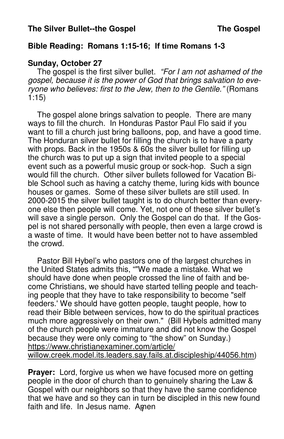# **Bible Reading: Romans 1:15-**16; If time Romans 1**-3**

# **Sunday, October 27**

The gospel is the first silver bullet. "For I am not ashamed of the gospel, because it is the power of God that brings salvation to everyone who believes: first to the Jew, then to the Gentile." (Romans 1:15)

 The gospel alone brings salvation to people. There are many ways to fill the church. In Honduras Pastor Paul Flo said if you want to fill a church just bring balloons, pop, and have a good time. The Honduran silver bullet for filling the church is to have a party with props. Back in the 1950s & 60s the silver bullet for filling up the church was to put up a sign that invited people to a special event such as a powerful music group or sock-hop. Such a sign would fill the church. Other silver bullets followed for Vacation Bible School such as having a catchy theme, luring kids with bounce houses or games. Some of these silver bullets are still used. In 2000-2015 the silver bullet taught is to do church better than everyone else then people will come. Yet, not one of these silver bullet's will save a single person. Only the Gospel can do that. If the Gospel is not shared personally with people, then even a large crowd is a waste of time. It would have been better not to have assembled the crowd.

 Pastor Bill Hybel's who pastors one of the largest churches in the United States admits this, ""We made a mistake. What we should have done when people crossed the line of faith and become Christians, we should have started telling people and teaching people that they have to take responsibility to become "self feeders.' We should have gotten people, taught people, how to read their Bible between services, how to do the spiritual practices much more aggressively on their own." (Bill Hybels admitted many of the church people were immature and did not know the Gospel because they were only coming to "the show" on Sunday.) https://www.christianexaminer.com/article/ willow.creek.model.its.leaders.say.fails.at.discipleship/44056.htm)

faith and life. In Jesus name. Amen **Prayer:** Lord, forgive us when we have focused more on getting people in the door of church than to genuinely sharing the Law & Gospel with our neighbors so that they have the same confidence that we have and so they can in turn be discipled in this new found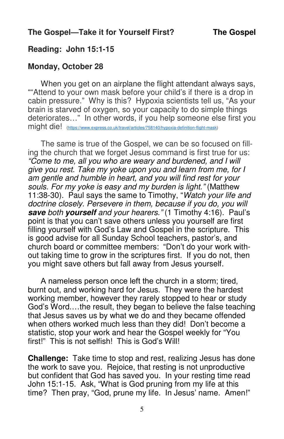# **Reading: John 15:1-15**

### **Monday, October 28**

 When you get on an airplane the flight attendant always says, ""Attend to your own mask before your child's if there is a drop in cabin pressure." Why is this? Hypoxia scientists tell us, "As your brain is starved of oxygen, so your capacity to do simple things deteriorates…" In other words, if you help someone else first you might die! (https://www.express.co.uk/travel/articles/758140/hypoxia-definition-flight-mask)

 The same is true of the Gospel, we can be so focused on filling the church that we forget Jesus command is first true for us: "Come to me, all you who are weary and burdened, and I will give you rest. Take my yoke upon you and learn from me, for I am gentle and humble in heart, and you will find rest for your souls. For my yoke is easy and my burden is light." (Matthew 11:38-30). Paul says the same to Timothy, "Watch your life and doctrine closely. Persevere in them, because if you do, you will **save** both **yourself** and your hearers." (1 Timothy 4:16). Paul's point is that you can't save others unless you yourself are first filling yourself with God's Law and Gospel in the scripture. This is good advise for all Sunday School teachers, pastor's, and church board or committee members: "Don't do your work without taking time to grow in the scriptures first. If you do not, then you might save others but fall away from Jesus yourself.

A nameless person once left the church in a storm; tired, burnt out, and working hard for Jesus. They were the hardest working member, however they rarely stopped to hear or study God's Word.…the result, they began to believe the false teaching that Jesus saves us by what we do and they became offended when others worked much less than they did! Don't become a statistic, stop your work and hear the Gospel weekly for "You first!" This is not selfish! This is God's Will!

**Challenge:** Take time to stop and rest, realizing Jesus has done the work to save you. Rejoice, that resting is not unproductive but confident that God has saved you. In your resting time read John 15:1-15. Ask, "What is God pruning from my life at this time? Then pray, "God, prune my life. In Jesus' name. Amen!"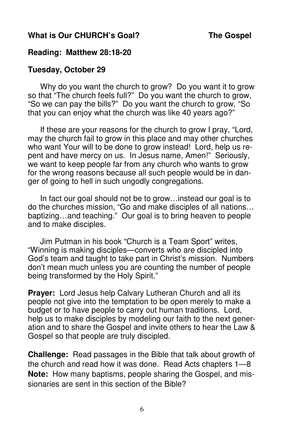# **What is Our CHURCH's Goal? The Gospel**

#### **Reading: Matthew 28:18-20**

#### **Tuesday, October 29**

 Why do you want the church to grow? Do you want it to grow so that "The church feels full?" Do you want the church to grow, "So we can pay the bills?" Do you want the church to grow, "So that you can enjoy what the church was like 40 years ago?"

 If these are your reasons for the church to grow I pray, "Lord, may the church fail to grow in this place and may other churches who want Your will to be done to grow instead! Lord, help us repent and have mercy on us. In Jesus name, Amen!" Seriously, we want to keep people far from any church who wants to grow for the wrong reasons because all such people would be in danger of going to hell in such ungodly congregations.

 In fact our goal should not be to grow…instead our goal is to do the churches mission, "Go and make disciples of all nations… baptizing…and teaching." Our goal is to bring heaven to people and to make disciples.

 Jim Putman in his book "Church is a Team Sport" writes, "Winning is making disciples—converts who are discipled into God's team and taught to take part in Christ's mission. Numbers don't mean much unless you are counting the number of people being transformed by the Holy Spirit."

**Prayer:** Lord Jesus help Calvary Lutheran Church and all its people not give into the temptation to be open merely to make a budget or to have people to carry out human traditions. Lord, help us to make disciples by modeling our faith to the next generation and to share the Gospel and invite others to hear the Law & Gospel so that people are truly discipled.

**Challenge:** Read passages in the Bible that talk about growth of the church and read how it was done. Read Acts chapters 1—8 **Note:** How many baptisms, people sharing the Gospel, and missionaries are sent in this section of the Bible?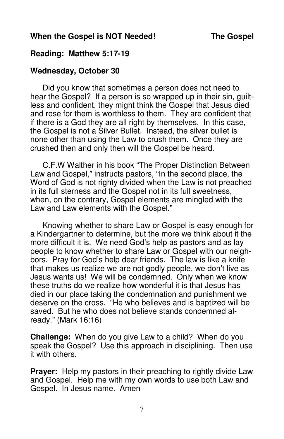# When the Gospel is NOT Needed! The Gospel

# **Reading: Matthew 5:17-19**

# **Wednesday, October 30**

 Did you know that sometimes a person does not need to hear the Gospel? If a person is so wrapped up in their sin, quiltless and confident, they might think the Gospel that Jesus died and rose for them is worthless to them. They are confident that if there is a God they are all right by themselves. In this case, the Gospel is not a Silver Bullet. Instead, the silver bullet is none other than using the Law to crush them. Once they are crushed then and only then will the Gospel be heard.

 C.F.W Walther in his book "The Proper Distinction Between Law and Gospel," instructs pastors, "In the second place, the Word of God is not righty divided when the Law is not preached in its full sterness and the Gospel not in its full sweetness, when, on the contrary, Gospel elements are mingled with the Law and Law elements with the Gospel."

 Knowing whether to share Law or Gospel is easy enough for a Kindergartner to determine, but the more we think about it the more difficult it is. We need God's help as pastors and as lay people to know whether to share Law or Gospel with our neighbors. Pray for God's help dear friends. The law is like a knife that makes us realize we are not godly people, we don't live as Jesus wants us! We will be condemned. Only when we know these truths do we realize how wonderful it is that Jesus has died in our place taking the condemnation and punishment we deserve on the cross. "He who believes and is baptized will be saved. But he who does not believe stands condemned already." (Mark 16:16)

**Challenge:** When do you give Law to a child? When do you speak the Gospel? Use this approach in disciplining. Then use it with others.

**Prayer:** Help my pastors in their preaching to rightly divide Law and Gospel. Help me with my own words to use both Law and Gospel. In Jesus name. Amen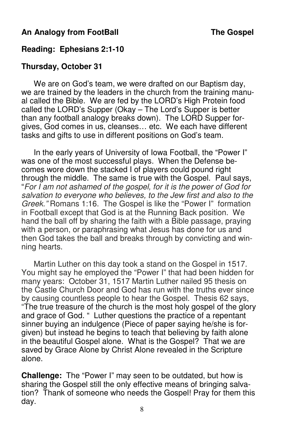# An Analogy from FootBall **The Gospel**

# **Reading: Ephesians 2:1-10**

# **Thursday, October 31**

 We are on God's team, we were drafted on our Baptism day, we are trained by the leaders in the church from the training manual called the Bible. We are fed by the LORD's High Protein food called the LORD's Supper (Okay – The Lord's Supper is better than any football analogy breaks down). The LORD Supper forgives, God comes in us, cleanses… etc. We each have different tasks and gifts to use in different positions on God's team.

 In the early years of University of Iowa Football, the "Power I" was one of the most successful plays. When the Defense becomes wore down the stacked I of players could pound right through the middle. The same is true with the Gospel. Paul says, "For I am not ashamed of the gospel, for it is the power of God for salvation to everyone who believes, to the Jew first and also to the Greek." Romans 1:16. The Gospel is like the "Power I" formation in Football except that God is at the Running Back position. We hand the ball off by sharing the faith with a Bible passage, praying with a person, or paraphrasing what Jesus has done for us and then God takes the ball and breaks through by convicting and winning hearts.

 Martin Luther on this day took a stand on the Gospel in 1517. You might say he employed the "Power I" that had been hidden for many years: October 31, 1517 Martin Luther nailed 95 thesis on the Castle Church Door and God has run with the truths ever since by causing countless people to hear the Gospel. Thesis 62 says, "The true treasure of the church is the most holy gospel of the glory and grace of God. " Luther questions the practice of a repentant sinner buying an indulgence (Piece of paper saying he/she is forgiven) but instead he begins to teach that believing by faith alone in the beautiful Gospel alone. What is the Gospel? That we are saved by Grace Alone by Christ Alone revealed in the Scripture alone.

**Challenge:** The "Power I" may seen to be outdated, but how is sharing the Gospel still the only effective means of bringing salvation? Thank of someone who needs the Gospel! Pray for them this day.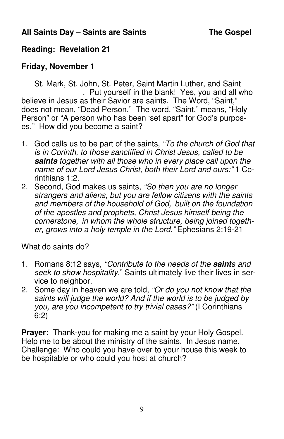# **All Saints Day – Saints are Saints The Gospel**

# **Reading: Revelation 21**

# **Friday, November 1**

 St. Mark, St. John, St. Peter, Saint Martin Luther, and Saint . Put yourself in the blank! Yes, you and all who believe in Jesus as their Savior are saints. The Word, "Saint," does not mean, "Dead Person." The word, "Saint," means, "Holy Person" or "A person who has been 'set apart" for God's purposes." How did you become a saint?

- 1. God calls us to be part of the saints, "To the church of God that is in Corinth, to those sanctified in Christ Jesus, called to be **saints** together with all those who in every place call upon the name of our Lord Jesus Christ, both their Lord and ours:" 1 Corinthians 1:2.
- 2. Second, God makes us saints, "So then you are no longer strangers and aliens, but you are fellow citizens with the saints and members of the household of God, built on the foundation of the apostles and prophets, Christ Jesus himself being the cornerstone, in whom the whole structure, being joined together, grows into a holy temple in the Lord." Ephesians 2:19-21

What do saints do?

- 1. Romans 8:12 says, "Contribute to the needs of the **saint**s and seek to show hospitality." Saints ultimately live their lives in service to neighbor.
- 2. Some day in heaven we are told, "Or do you not know that the saints will judge the world? And if the world is to be judged by you, are you incompetent to try trivial cases?" (I Corinthians 6:2)

**Prayer:** Thank-you for making me a saint by your Holy Gospel. Help me to be about the ministry of the saints. In Jesus name. Challenge: Who could you have over to your house this week to be hospitable or who could you host at church?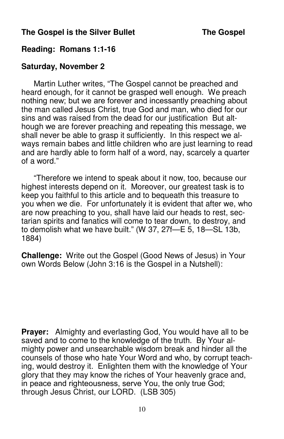# **The Gospel is the Silver Bullet The Gospel is the Silver Bullet**

### **Reading: Romans 1:1-16**

#### **Saturday, November 2**

 Martin Luther writes, "The Gospel cannot be preached and heard enough, for it cannot be grasped well enough. We preach nothing new; but we are forever and incessantly preaching about the man called Jesus Christ, true God and man, who died for our sins and was raised from the dead for our justification But although we are forever preaching and repeating this message, we shall never be able to grasp it sufficiently. In this respect we always remain babes and little children who are just learning to read and are hardly able to form half of a word, nay, scarcely a quarter of a word."

 "Therefore we intend to speak about it now, too, because our highest interests depend on it. Moreover, our greatest task is to keep you faithful to this article and to bequeath this treasure to you when we die. For unfortunately it is evident that after we, who are now preaching to you, shall have laid our heads to rest, sectarian spirits and fanatics will come to tear down, to destroy, and to demolish what we have built." (W 37, 27f—E 5, 18—SL 13b, 1884)

**Challenge:** Write out the Gospel (Good News of Jesus) in Your own Words Below (John 3:16 is the Gospel in a Nutshell):

**Prayer:** Almighty and everlasting God, You would have all to be saved and to come to the knowledge of the truth. By Your almighty power and unsearchable wisdom break and hinder all the counsels of those who hate Your Word and who, by corrupt teaching, would destroy it. Enlighten them with the knowledge of Your glory that they may know the riches of Your heavenly grace and, in peace and righteousness, serve You, the only true God; through Jesus Christ, our LORD. (LSB 305)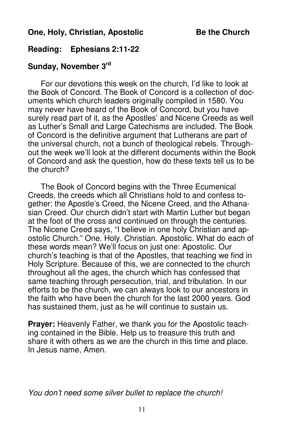#### **One, Holy, Christian, Apostolic Be the Church**

# **Reading: Ephesians 2:11-22**

# **Sunday, November 3rd**

 For our devotions this week on the church, I'd like to look at the Book of Concord. The Book of Concord is a collection of documents which church leaders originally compiled in 1580. You may never have heard of the Book of Concord, but you have surely read part of it, as the Apostles' and Nicene Creeds as well as Luther's Small and Large Catechisms are included. The Book of Concord is the definitive argument that Lutherans are part of the universal church, not a bunch of theological rebels. Throughout the week we'll look at the different documents within the Book of Concord and ask the question, how do these texts tell us to be the church?

 The Book of Concord begins with the Three Ecumenical Creeds, the creeds which all Christians hold to and confess together: the Apostle's Creed, the Nicene Creed, and the Athanasian Creed. Our church didn't start with Martin Luther but began at the foot of the cross and continued on through the centuries. The Nicene Creed says, "I believe in one holy Christian and apostolic Church." One. Holy. Christian. Apostolic. What do each of these words mean? We'll focus on just one: Apostolic. Our church's teaching is that of the Apostles, that teaching we find in Holy Scripture. Because of this, we are connected to the church throughout all the ages, the church which has confessed that same teaching through persecution, trial, and tribulation. In our efforts to be the church, we can always look to our ancestors in the faith who have been the church for the last 2000 years. God has sustained them, just as he will continue to sustain us.

**Prayer:** Heavenly Father, we thank you for the Apostolic teaching contained in the Bible. Help us to treasure this truth and share it with others as we are the church in this time and place. In Jesus name, Amen.

You don't need some silver bullet to replace the church!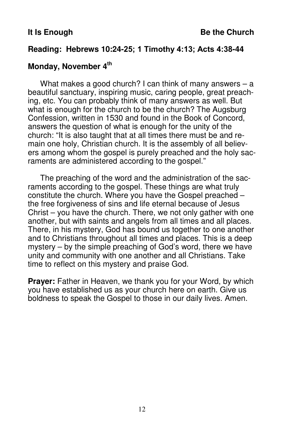#### **Reading: Hebrews 10:24-**25; 1 Timothy 4:13; Acts 4:38**-44**

# **Monday, November 4th**

 What makes a good church? I can think of many answers – a beautiful sanctuary, inspiring music, caring people, great preaching, etc. You can probably think of many answers as well. But what is enough for the church to be the church? The Augsburg Confession, written in 1530 and found in the Book of Concord, answers the question of what is enough for the unity of the church: "It is also taught that at all times there must be and remain one holy, Christian church. It is the assembly of all believers among whom the gospel is purely preached and the holy sacraments are administered according to the gospel."

 The preaching of the word and the administration of the sacraments according to the gospel. These things are what truly constitute the church. Where you have the Gospel preached – the free forgiveness of sins and life eternal because of Jesus Christ – you have the church. There, we not only gather with one another, but with saints and angels from all times and all places. There, in his mystery, God has bound us together to one another and to Christians throughout all times and places. This is a deep mystery – by the simple preaching of God's word, there we have unity and community with one another and all Christians. Take time to reflect on this mystery and praise God.

**Prayer:** Father in Heaven, we thank you for your Word, by which you have established us as your church here on earth. Give us boldness to speak the Gospel to those in our daily lives. Amen.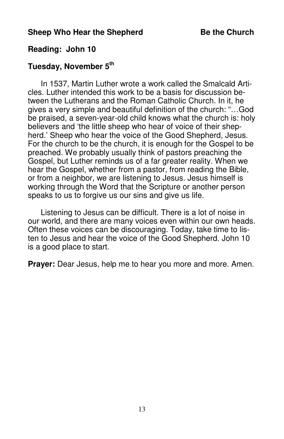# **Reading: John 10**

# **Tuesday, November 5th**

 In 1537, Martin Luther wrote a work called the Smalcald Articles. Luther intended this work to be a basis for discussion between the Lutherans and the Roman Catholic Church. In it, he gives a very simple and beautiful definition of the church: "…God be praised, a seven-year-old child knows what the church is: holy believers and 'the little sheep who hear of voice of their shepherd.' Sheep who hear the voice of the Good Shepherd, Jesus. For the church to be the church, it is enough for the Gospel to be preached. We probably usually think of pastors preaching the Gospel, but Luther reminds us of a far greater reality. When we hear the Gospel, whether from a pastor, from reading the Bible, or from a neighbor, we are listening to Jesus. Jesus himself is working through the Word that the Scripture or another person speaks to us to forgive us our sins and give us life.

 Listening to Jesus can be difficult. There is a lot of noise in our world, and there are many voices even within our own heads. Often these voices can be discouraging. Today, take time to listen to Jesus and hear the voice of the Good Shepherd. John 10 is a good place to start.

**Prayer:** Dear Jesus, help me to hear you more and more. Amen.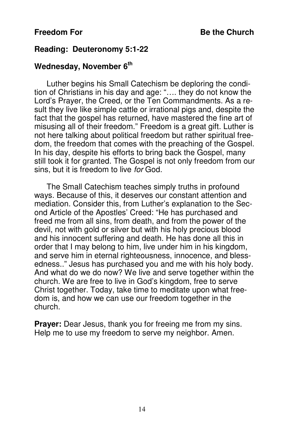#### **Reading: Deuteronomy 5:1-22**

# **Wednesday, November 6th**

 Luther begins his Small Catechism be deploring the condition of Christians in his day and age: "…. they do not know the Lord's Prayer, the Creed, or the Ten Commandments. As a result they live like simple cattle or irrational pigs and, despite the fact that the gospel has returned, have mastered the fine art of misusing all of their freedom." Freedom is a great gift. Luther is not here talking about political freedom but rather spiritual freedom, the freedom that comes with the preaching of the Gospel. In his day, despite his efforts to bring back the Gospel, many still took it for granted. The Gospel is not only freedom from our sins, but it is freedom to live for God.

 The Small Catechism teaches simply truths in profound ways. Because of this, it deserves our constant attention and mediation. Consider this, from Luther's explanation to the Second Article of the Apostles' Creed: "He has purchased and freed me from all sins, from death, and from the power of the devil, not with gold or silver but with his holy precious blood and his innocent suffering and death. He has done all this in order that I may belong to him, live under him in his kingdom, and serve him in eternal righteousness, innocence, and blessedness.." Jesus has purchased you and me with his holy body. And what do we do now? We live and serve together within the church. We are free to live in God's kingdom, free to serve Christ together. Today, take time to meditate upon what freedom is, and how we can use our freedom together in the church.

**Prayer:** Dear Jesus, thank you for freeing me from my sins. Help me to use my freedom to serve my neighbor. Amen.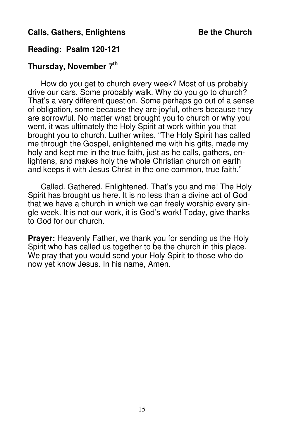# **Calls, Gathers, Enlightens Be the Church Calls, Gathers, Enlightens Be the Church**

# **Reading: Psalm 120-121**

# **Thursday, November 7th**

 How do you get to church every week? Most of us probably drive our cars. Some probably walk. Why do you go to church? That's a very different question. Some perhaps go out of a sense of obligation, some because they are joyful, others because they are sorrowful. No matter what brought you to church or why you went, it was ultimately the Holy Spirit at work within you that brought you to church. Luther writes, "The Holy Spirit has called me through the Gospel, enlightened me with his gifts, made my holy and kept me in the true faith, just as he calls, gathers, enlightens, and makes holy the whole Christian church on earth and keeps it with Jesus Christ in the one common, true faith."

 Called. Gathered. Enlightened. That's you and me! The Holy Spirit has brought us here. It is no less than a divine act of God that we have a church in which we can freely worship every single week. It is not our work, it is God's work! Today, give thanks to God for our church.

**Prayer:** Heavenly Father, we thank you for sending us the Holy Spirit who has called us together to be the church in this place. We pray that you would send your Holy Spirit to those who do now yet know Jesus. In his name, Amen.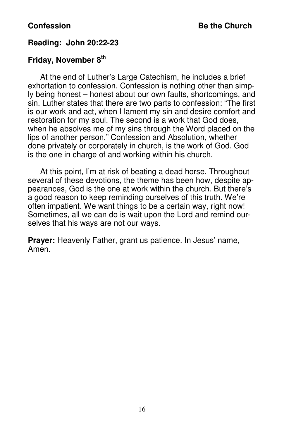# **Reading: John 20:22-23**

# **Friday, November 8th**

 At the end of Luther's Large Catechism, he includes a brief exhortation to confession. Confession is nothing other than simply being honest – honest about our own faults, shortcomings, and sin. Luther states that there are two parts to confession: "The first is our work and act, when I lament my sin and desire comfort and restoration for my soul. The second is a work that God does, when he absolves me of my sins through the Word placed on the lips of another person." Confession and Absolution, whether done privately or corporately in church, is the work of God. God is the one in charge of and working within his church.

 At this point, I'm at risk of beating a dead horse. Throughout several of these devotions, the theme has been how, despite appearances, God is the one at work within the church. But there's a good reason to keep reminding ourselves of this truth. We're often impatient. We want things to be a certain way, right now! Sometimes, all we can do is wait upon the Lord and remind ourselves that his ways are not our ways.

**Prayer:** Heavenly Father, grant us patience. In Jesus' name, Amen.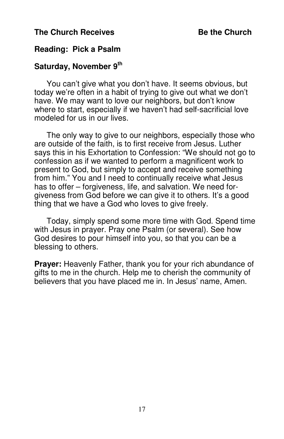### **The Church Receives Be the Church**

# **Reading: Pick a Psalm**

# **Saturday, November 9th**

 You can't give what you don't have. It seems obvious, but today we're often in a habit of trying to give out what we don't have. We may want to love our neighbors, but don't know where to start, especially if we haven't had self-sacrificial love modeled for us in our lives.

 The only way to give to our neighbors, especially those who are outside of the faith, is to first receive from Jesus. Luther says this in his Exhortation to Confession: "We should not go to confession as if we wanted to perform a magnificent work to present to God, but simply to accept and receive something from him." You and I need to continually receive what Jesus has to offer – forgiveness, life, and salvation. We need forgiveness from God before we can give it to others. It's a good thing that we have a God who loves to give freely.

 Today, simply spend some more time with God. Spend time with Jesus in prayer. Pray one Psalm (or several). See how God desires to pour himself into you, so that you can be a blessing to others.

**Prayer:** Heavenly Father, thank you for your rich abundance of gifts to me in the church. Help me to cherish the community of believers that you have placed me in. In Jesus' name, Amen.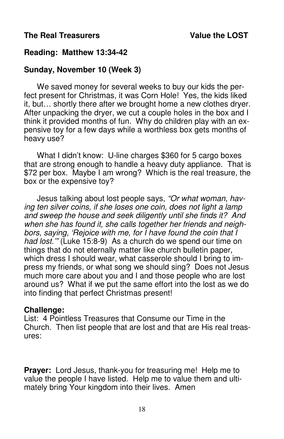# **The Real Treasurers The Real Treasurers** Value the LOST

# **Reading: Matthew 13:34-42**

# **Sunday, November 10 (Week 3)**

 We saved money for several weeks to buy our kids the perfect present for Christmas, it was Corn Hole! Yes, the kids liked it, but… shortly there after we brought home a new clothes dryer. After unpacking the dryer, we cut a couple holes in the box and I think it provided months of fun. Why do children play with an expensive toy for a few days while a worthless box gets months of heavy use?

 What I didn't know: U-line charges \$360 for 5 cargo boxes that are strong enough to handle a heavy duty appliance. That is \$72 per box. Maybe I am wrong? Which is the real treasure, the box or the expensive toy?

 Jesus talking about lost people says, "Or what woman, having ten silver coins, if she loses one coin, does not light a lamp and sweep the house and seek diligently until she finds it? And when she has found it, she calls together her friends and neighbors, saying, 'Rejoice with me, for I have found the coin that I had lost." (Luke 15:8-9) As a church do we spend our time on things that do not eternally matter like church bulletin paper, which dress I should wear, what casserole should I bring to impress my friends, or what song we should sing? Does not Jesus much more care about you and I and those people who are lost around us? What if we put the same effort into the lost as we do into finding that perfect Christmas present!

#### **Challenge:**

List: 4 Pointless Treasures that Consume our Time in the Church. Then list people that are lost and that are His real treasures:

**Prayer:** Lord Jesus, thank-you for treasuring me! Help me to value the people I have listed. Help me to value them and ultimately bring Your kingdom into their lives. Amen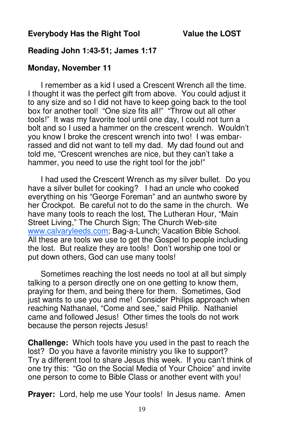# **Everybody Has the Right Tool Value the LOST**

#### **Reading John 1:43-**51; James 1:17

#### **Monday, November 11**

 I remember as a kid I used a Crescent Wrench all the time. I thought it was the perfect gift from above. You could adjust it to any size and so I did not have to keep going back to the tool box for another tool! "One size fits all!" "Throw out all other tools!" It was my favorite tool until one day, I could not turn a bolt and so I used a hammer on the crescent wrench. Wouldn't you know I broke the crescent wrench into two! I was embarrassed and did not want to tell my dad. My dad found out and told me, "Crescent wrenches are nice, but they can't take a hammer, you need to use the right tool for the job!"

 I had used the Crescent Wrench as my silver bullet. Do you have a silver bullet for cooking? I had an uncle who cooked everything on his "George Foreman" and an auntwho swore by her Crockpot. Be careful not to do the same in the church. We have many tools to reach the lost, The Lutheran Hour, "Main Street Living," The Church Sign; The Church Web-site www.calvaryleeds.com; Bag-a-Lunch; Vacation Bible School. All these are tools we use to get the Gospel to people including the lost. But realize they are tools! Don't worship one tool or put down others, God can use many tools!

 Sometimes reaching the lost needs no tool at all but simply talking to a person directly one on one getting to know them, praying for them, and being there for them. Sometimes, God just wants to use you and me! Consider Philips approach when reaching Nathanael, "Come and see," said Philip. Nathaniel came and followed Jesus! Other times the tools do not work because the person rejects Jesus!

**Challenge:** Which tools have you used in the past to reach the lost? Do you have a favorite ministry you like to support? Try a different tool to share Jesus this week. If you can't think of one try this: "Go on the Social Media of Your Choice" and invite one person to come to Bible Class or another event with you!

**Prayer:** Lord, help me use Your tools! In Jesus name. Amen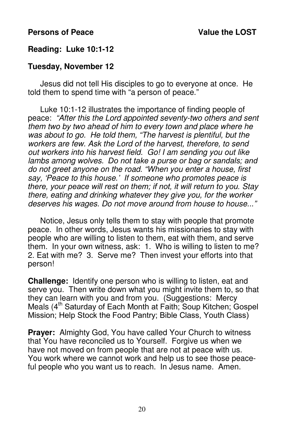#### **Persons of Peace** Value the LOST

# **Reading: Luke 10:1-12**

#### **Tuesday, November 12**

 Jesus did not tell His disciples to go to everyone at once. He told them to spend time with "a person of peace."

 Luke 10:1-12 illustrates the importance of finding people of peace: "After this the Lord appointed seventy-two others and sent them two by two ahead of him to every town and place where he was about to go. He told them, "The harvest is plentiful, but the workers are few. Ask the Lord of the harvest, therefore, to send out workers into his harvest field. Go! I am sending you out like lambs among wolves. Do not take a purse or bag or sandals; and do not greet anyone on the road. "When you enter a house, first say, 'Peace to this house.' If someone who promotes peace is there, your peace will rest on them; if not, it will return to you. Stay there, eating and drinking whatever they give you, for the worker deserves his wages. Do not move around from house to house..."

 Notice, Jesus only tells them to stay with people that promote peace. In other words, Jesus wants his missionaries to stay with people who are willing to listen to them, eat with them, and serve them. In your own witness, ask: 1. Who is willing to listen to me? 2. Eat with me? 3. Serve me? Then invest your efforts into that person!

**Challenge:** Identify one person who is willing to listen, eat and serve you. Then write down what you might invite them to, so that they can learn with you and from you. (Suggestions: Mercy Meals (4<sup>th</sup> Saturday of Each Month at Faith; Soup Kitchen; Gospel Mission; Help Stock the Food Pantry; Bible Class, Youth Class)

**Prayer:** Almighty God, You have called Your Church to witness that You have reconciled us to Yourself. Forgive us when we have not moved on from people that are not at peace with us. You work where we cannot work and help us to see those peaceful people who you want us to reach. In Jesus name. Amen.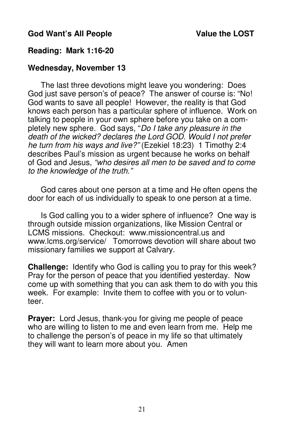# God Want's All People Value the LOST

# **Reading: Mark 1:16-20**

#### **Wednesday, November 13**

 The last three devotions might leave you wondering: Does God just save person's of peace? The answer of course is: "No! God wants to save all people! However, the reality is that God knows each person has a particular sphere of influence. Work on talking to people in your own sphere before you take on a completely new sphere. God says, "Do I take any pleasure in the death of the wicked? declares the Lord GOD. Would I not prefer he turn from his ways and live?" (Ezekiel 18:23) 1 Timothy 2:4 describes Paul's mission as urgent because he works on behalf of God and Jesus, "who desires all men to be saved and to come to the knowledge of the truth."

 God cares about one person at a time and He often opens the door for each of us individually to speak to one person at a time.

 Is God calling you to a wider sphere of influence? One way is through outside mission organizations, like Mission Central or LCMS missions. Checkout: www.missioncentral.us and www.lcms.org/service/ Tomorrows devotion will share about two missionary families we support at Calvary.

**Challenge:** Identify who God is calling you to pray for this week? Pray for the person of peace that you identified yesterday. Now come up with something that you can ask them to do with you this week. For example: Invite them to coffee with you or to volunteer.

**Prayer:** Lord Jesus, thank-you for giving me people of peace who are willing to listen to me and even learn from me. Help me to challenge the person's of peace in my life so that ultimately they will want to learn more about you. Amen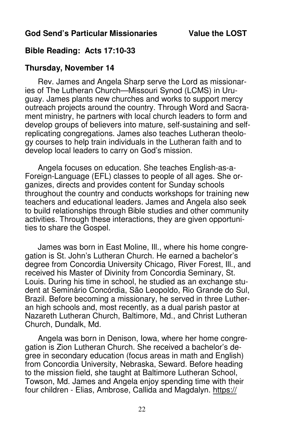# **Bible Reading: Acts 17:10-33**

# **Thursday, November 14**

 Rev. James and Angela Sharp serve the Lord as missionaries of The Lutheran Church—Missouri Synod (LCMS) in Uruguay. James plants new churches and works to support mercy outreach projects around the country. Through Word and Sacrament ministry, he partners with local church leaders to form and develop groups of believers into mature, self-sustaining and selfreplicating congregations. James also teaches Lutheran theology courses to help train individuals in the Lutheran faith and to develop local leaders to carry on God's mission.

 Angela focuses on education. She teaches English-as-a-Foreign-Language (EFL) classes to people of all ages. She organizes, directs and provides content for Sunday schools throughout the country and conducts workshops for training new teachers and educational leaders. James and Angela also seek to build relationships through Bible studies and other community activities. Through these interactions, they are given opportunities to share the Gospel.

 James was born in East Moline, Ill., where his home congregation is St. John's Lutheran Church. He earned a bachelor's degree from Concordia University Chicago, River Forest, Ill., and received his Master of Divinity from Concordia Seminary, St. Louis. During his time in school, he studied as an exchange student at Seminário Concórdia, São Leopoldo, Rio Grande do Sul, Brazil. Before becoming a missionary, he served in three Lutheran high schools and, most recently, as a dual parish pastor at Nazareth Lutheran Church, Baltimore, Md., and Christ Lutheran Church, Dundalk, Md.

 Angela was born in Denison, Iowa, where her home congregation is Zion Lutheran Church. She received a bachelor's degree in secondary education (focus areas in math and English) from Concordia University, Nebraska, Seward. Before heading to the mission field, she taught at Baltimore Lutheran School, Towson, Md. James and Angela enjoy spending time with their four children - Elias, Ambrose, Callida and Magdalyn. https://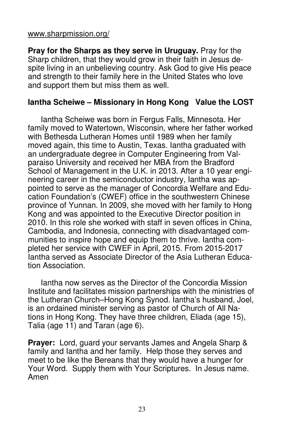#### www.sharpmission.org/

**Pray for the Sharps as they serve in Uruguay.** Pray for the Sharp children, that they would grow in their faith in Jesus despite living in an unbelieving country. Ask God to give His peace and strength to their family here in the United States who love and support them but miss them as well.

# **Iantha Scheiwe – Missionary in Hong Kong Value the LOST**

 Iantha Scheiwe was born in Fergus Falls, Minnesota. Her family moved to Watertown, Wisconsin, where her father worked with Bethesda Lutheran Homes until 1989 when her family moved again, this time to Austin, Texas. Iantha graduated with an undergraduate degree in Computer Engineering from Valparaiso University and received her MBA from the Bradford School of Management in the U.K. in 2013. After a 10 year engineering career in the semiconductor industry, Iantha was appointed to serve as the manager of Concordia Welfare and Education Foundation's (CWEF) office in the southwestern Chinese province of Yunnan. In 2009, she moved with her family to Hong Kong and was appointed to the Executive Director position in 2010. In this role she worked with staff in seven offices in China, Cambodia, and Indonesia, connecting with disadvantaged communities to inspire hope and equip them to thrive. Iantha completed her service with CWEF in April, 2015. From 2015-2017 Iantha served as Associate Director of the Asia Lutheran Education Association.

 Iantha now serves as the Director of the Concordia Mission Institute and facilitates mission partnerships with the ministries of the Lutheran Church–Hong Kong Synod. Iantha's husband, Joel, is an ordained minister serving as pastor of Church of All Nations in Hong Kong. They have three children, Eliada (age 15), Talia (age 11) and Taran (age 6).

**Prayer:** Lord, guard your servants James and Angela Sharp & family and Iantha and her family. Help those they serves and meet to be like the Bereans that they would have a hunger for Your Word. Supply them with Your Scriptures. In Jesus name. Amen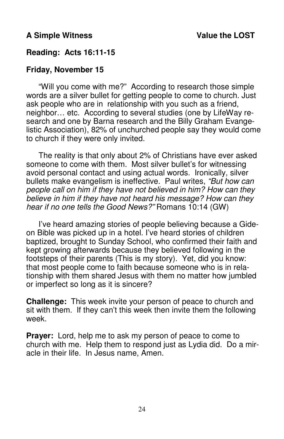# **Reading: Acts 16:11-15**

# **Friday, November 15**

 "Will you come with me?" According to research those simple words are a silver bullet for getting people to come to church. Just ask people who are in relationship with you such as a friend, neighbor… etc. According to several studies (one by LifeWay research and one by Barna research and the Billy Graham Evangelistic Association), 82% of unchurched people say they would come to church if they were only invited.

 The reality is that only about 2% of Christians have ever asked someone to come with them. Most silver bullet's for witnessing avoid personal contact and using actual words. Ironically, silver bullets make evangelism is ineffective. Paul writes, "But how can people call on him if they have not believed in him? How can they believe in him if they have not heard his message? How can they hear if no one tells the Good News?" Romans 10:14 (GW)

 I've heard amazing stories of people believing because a Gideon Bible was picked up in a hotel. I've heard stories of children baptized, brought to Sunday School, who confirmed their faith and kept growing afterwards because they believed following in the footsteps of their parents (This is my story). Yet, did you know: that most people come to faith because someone who is in relationship with them shared Jesus with them no matter how jumbled or imperfect so long as it is sincere?

**Challenge:** This week invite your person of peace to church and sit with them. If they can't this week then invite them the following week.

**Prayer:** Lord, help me to ask my person of peace to come to church with me. Help them to respond just as Lydia did. Do a miracle in their life. In Jesus name, Amen.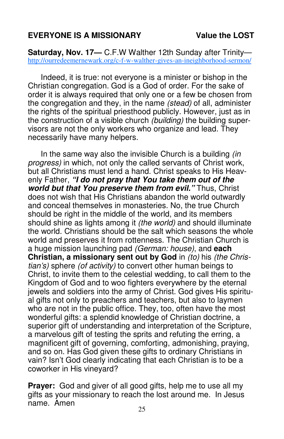# **EVERYONE IS A MISSIONARY Value the LOST**

**Saturday, Nov. 17—** C.F.W Walther 12th Sunday after Trinity http://ourredeemernewark.org/c-f-w-walther-gives-an-ineighborhood-sermon/

 Indeed, it is true: not everyone is a minister or bishop in the Christian congregation. God is a God of order. For the sake of order it is always required that only one or a few be chosen from the congregation and they, in the name (stead) of all, administer the rights of the spiritual priesthood publicly. However, just as in the construction of a visible church (building) the building supervisors are not the only workers who organize and lead. They necessarily have many helpers.

In the same way also the invisible Church is a building *(in*) progress) in which, not only the called servants of Christ work, but all Christians must lend a hand. Christ speaks to His Heavenly Father, **"I do not pray that You take them out of the world but that You preserve them from evil."** Thus, Christ does not wish that His Christians abandon the world outwardly and conceal themselves in monasteries. No, the true Church should be right in the middle of the world, and its members should shine as lights among it *(the world)* and should illuminate the world. Christians should be the salt which seasons the whole world and preserves it from rottenness. The Christian Church is a huge mission launching pad (German: house), and **each Christian, a missionary sent out by God** in (to) his (the Christian's) sphere (of activity) to convert other human beings to Christ, to invite them to the celestial wedding, to call them to the Kingdom of God and to woo fighters everywhere by the eternal jewels and soldiers into the army of Christ. God gives His spiritual gifts not only to preachers and teachers, but also to laymen who are not in the public office. They, too, often have the most wonderful gifts: a splendid knowledge of Christian doctrine, a superior gift of understanding and interpretation of the Scripture, a marvelous gift of testing the sprits and refuting the erring, a magnificent gift of governing, comforting, admonishing, praying, and so on. Has God given these gifts to ordinary Christians in vain? Isn't God clearly indicating that each Christian is to be a coworker in His vineyard?

**Prayer:** God and giver of all good gifts, help me to use all my gifts as your missionary to reach the lost around me. In Jesus name. Amen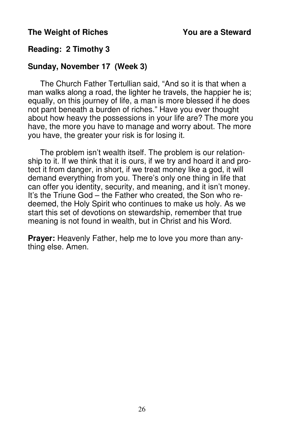# **The Weight of Riches You are a Steward**

# **Reading: 2 Timothy 3**

# **Sunday, November 17 (Week 3)**

 The Church Father Tertullian said, "And so it is that when a man walks along a road, the lighter he travels, the happier he is; equally, on this journey of life, a man is more blessed if he does not pant beneath a burden of riches." Have you ever thought about how heavy the possessions in your life are? The more you have, the more you have to manage and worry about. The more you have, the greater your risk is for losing it.

 The problem isn't wealth itself. The problem is our relationship to it. If we think that it is ours, if we try and hoard it and protect it from danger, in short, if we treat money like a god, it will demand everything from you. There's only one thing in life that can offer you identity, security, and meaning, and it isn't money. It's the Triune God – the Father who created, the Son who redeemed, the Holy Spirit who continues to make us holy. As we start this set of devotions on stewardship, remember that true meaning is not found in wealth, but in Christ and his Word.

**Prayer:** Heavenly Father, help me to love you more than anything else. Amen.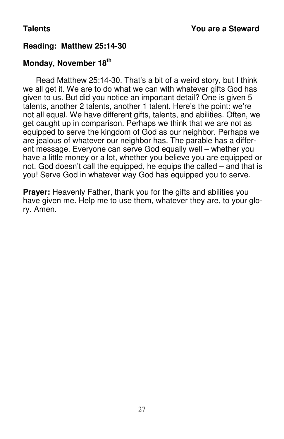# **Reading: Matthew 25:14-30**

# **Monday, November 18th**

 Read Matthew 25:14-30. That's a bit of a weird story, but I think we all get it. We are to do what we can with whatever gifts God has given to us. But did you notice an important detail? One is given 5 talents, another 2 talents, another 1 talent. Here's the point: we're not all equal. We have different gifts, talents, and abilities. Often, we get caught up in comparison. Perhaps we think that we are not as equipped to serve the kingdom of God as our neighbor. Perhaps we are jealous of whatever our neighbor has. The parable has a different message. Everyone can serve God equally well – whether you have a little money or a lot, whether you believe you are equipped or not. God doesn't call the equipped, he equips the called – and that is you! Serve God in whatever way God has equipped you to serve.

**Prayer:** Heavenly Father, thank you for the gifts and abilities you have given me. Help me to use them, whatever they are, to your glory. Amen.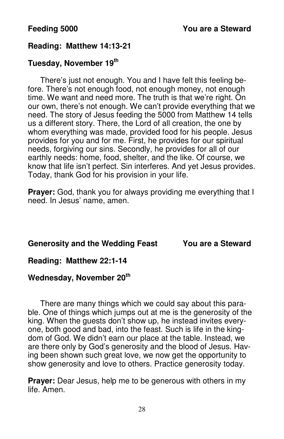# **Reading: Matthew 14:13-21**

# **Tuesday, November 19th**

 There's just not enough. You and I have felt this feeling before. There's not enough food, not enough money, not enough time. We want and need more. The truth is that we're right. On our own, there's not enough. We can't provide everything that we need. The story of Jesus feeding the 5000 from Matthew 14 tells us a different story. There, the Lord of all creation, the one by whom everything was made, provided food for his people. Jesus provides for you and for me. First, he provides for our spiritual needs, forgiving our sins. Secondly, he provides for all of our earthly needs: home, food, shelter, and the like. Of course, we know that life isn't perfect. Sin interferes. And yet Jesus provides. Today, thank God for his provision in your life.

**Prayer:** God, thank you for always providing me everything that I need. In Jesus' name, amen.

# **Generosity and the Wedding Feast You are a Steward**

# **Reading: Matthew 22:1-14**

# **Wednesday, November 20th**

 There are many things which we could say about this parable. One of things which jumps out at me is the generosity of the king. When the guests don't show up, he instead invites everyone, both good and bad, into the feast. Such is life in the kingdom of God. We didn't earn our place at the table. Instead, we are there only by God's generosity and the blood of Jesus. Having been shown such great love, we now get the opportunity to show generosity and love to others. Practice generosity today.

**Prayer:** Dear Jesus, help me to be generous with others in my life. Amen.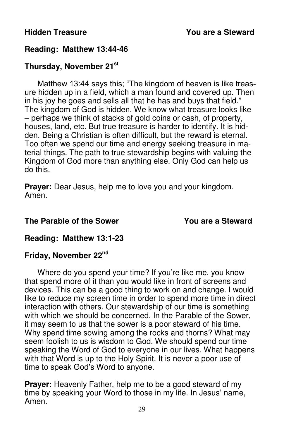# **Reading: Matthew 13:44-46**

# **Thursday, November 21st**

Matthew 13:44 says this; "The kingdom of heaven is like treasure hidden up in a field, which a man found and covered up. Then in his joy he goes and sells all that he has and buys that field." The kingdom of God is hidden. We know what treasure looks like – perhaps we think of stacks of gold coins or cash, of property, houses, land, etc. But true treasure is harder to identify. It is hidden. Being a Christian is often difficult, but the reward is eternal. Too often we spend our time and energy seeking treasure in material things. The path to true stewardship begins with valuing the Kingdom of God more than anything else. Only God can help us do this.

**Prayer:** Dear Jesus, help me to love you and your kingdom. Amen.

# **The Parable of the Sower The Parable of the Sower The Parable of the Sower The You are a Steward**

# **Reading: Matthew 13:1-23**

# **Friday, November 22nd**

 Where do you spend your time? If you're like me, you know that spend more of it than you would like in front of screens and devices. This can be a good thing to work on and change. I would like to reduce my screen time in order to spend more time in direct interaction with others. Our stewardship of our time is something with which we should be concerned. In the Parable of the Sower, it may seem to us that the sower is a poor steward of his time. Why spend time sowing among the rocks and thorns? What may seem foolish to us is wisdom to God. We should spend our time speaking the Word of God to everyone in our lives. What happens with that Word is up to the Holy Spirit. It is never a poor use of time to speak God's Word to anyone.

**Prayer:** Heavenly Father, help me to be a good steward of my time by speaking your Word to those in my life. In Jesus' name, Amen.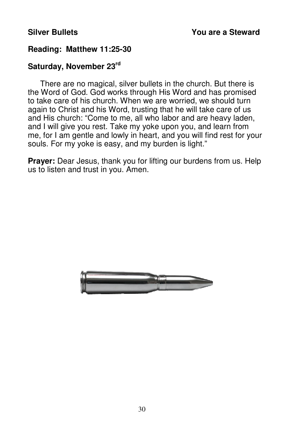# **Reading: Matthew 11:25-30**

# **Saturday, November 23rd**

 There are no magical, silver bullets in the church. But there is the Word of God. God works through His Word and has promised to take care of his church. When we are worried, we should turn again to Christ and his Word, trusting that he will take care of us and His church: "Come to me, all who labor and are heavy laden, and I will give you rest. Take my yoke upon you, and learn from me, for I am gentle and lowly in heart, and you will find rest for your souls. For my yoke is easy, and my burden is light."

**Prayer:** Dear Jesus, thank you for lifting our burdens from us. Help us to listen and trust in you. Amen.

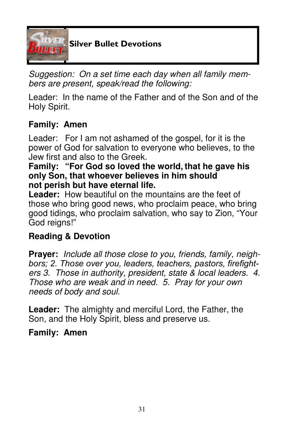

Suggestion: On a set time each day when all family members are present, speak/read the following:

Leader: In the name of the Father and of the Son and of the Holy Spirit.

# **Family: Amen**

Leader: For I am not ashamed of the gospel, for it is the power of God for salvation to everyone who believes, to the Jew first and also to the Greek.

# **Family: "For God so loved the world, that he gave his only Son, that whoever believes in him should not perish but have eternal life.**

**Leader:** How beautiful on the mountains are the feet of those who bring good news, who proclaim peace, who bring good tidings, who proclaim salvation, who say to Zion, "Your God reigns!"

# **Reading & Devotion**

**Prayer:** Include all those close to you, friends, family, neighbors; 2. Those over you, leaders, teachers, pastors, firefighters 3. Those in authority, president, state & local leaders. 4. Those who are weak and in need. 5. Pray for your own needs of body and soul.

**Leader:** The almighty and merciful Lord, the Father, the Son, and the Holy Spirit, bless and preserve us.

# **Family: Amen**